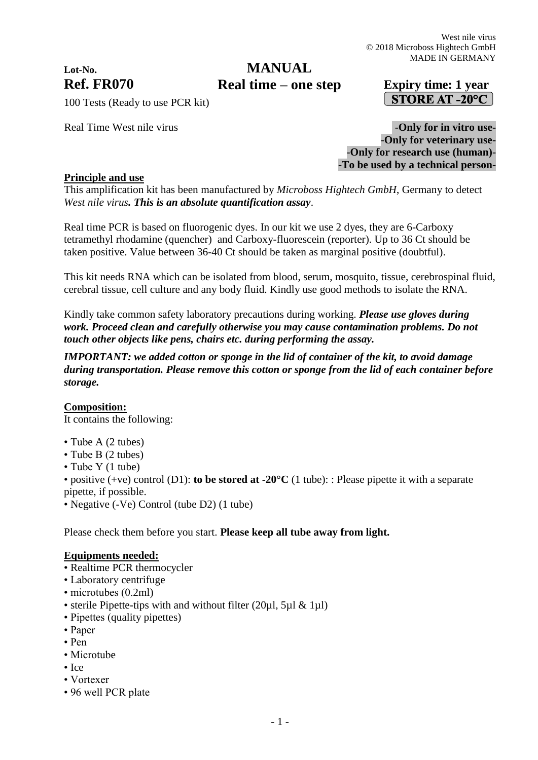# **Lot-No.**

# **Ref. FR070 Expiry time: 1 year Real time – one stepMANUAL**

# STORE AT -20°C

100 Tests (Ready to use PCR kit)

Real Time West nile virus **and Secure 2 and Secure 2 and Secure 2 and Secure 2 and Security 1 and Secure 2 and Security 1 and Security 1 and Security 1 and Security 1 and Security 1 and Security 1 and Security 1 and Securi** -**Only for veterinary use-** -**Only for research use (human)**- **-To be used by a technical person-**

# **Principle and use**

This amplification kit has been manufactured by *Microboss Hightech GmbH*, Germany to detect *West nile virus. This is an absolute quantification assay*.

Real time PCR is based on fluorogenic dyes. In our kit we use 2 dyes, they are 6-Carboxy tetramethyl rhodamine (quencher) and Carboxy-fluorescein (reporter). Up to 36 Ct should be taken positive. Value between 36-40 Ct should be taken as marginal positive (doubtful).

This kit needs RNA which can be isolated from blood, serum, mosquito, tissue, cerebrospinal fluid, cerebral tissue, cell culture and any body fluid. Kindly use good methods to isolate the RNA.

Kindly take common safety laboratory precautions during working. *Please use gloves during work. Proceed clean and carefully otherwise you may cause contamination problems. Do not touch other objects like pens, chairs etc. during performing the assay.*

*IMPORTANT: we added cotton or sponge in the lid of container of the kit, to avoid damage during transportation. Please remove this cotton or sponge from the lid of each container before storage.*

# **Composition:**

It contains the following:

- Tube A (2 tubes)
- Tube B (2 tubes)
- Tube Y (1 tube)

• positive (+ve) control (D1): **to be stored at -20°C** (1 tube): : Please pipette it with a separate pipette, if possible.

• Negative (-Ve) Control (tube D2) (1 tube)

Please check them before you start. **Please keep all tube away from light.**

# **Equipments needed:**

- Realtime PCR thermocycler
- Laboratory centrifuge
- microtubes (0.2ml)
- sterile Pipette-tips with and without filter  $(20\mu l, 5\mu l \& 1\mu l)$
- Pipettes (quality pipettes)
- Paper
- Pen
- Microtube
- Ice
- Vortexer
- 96 well PCR plate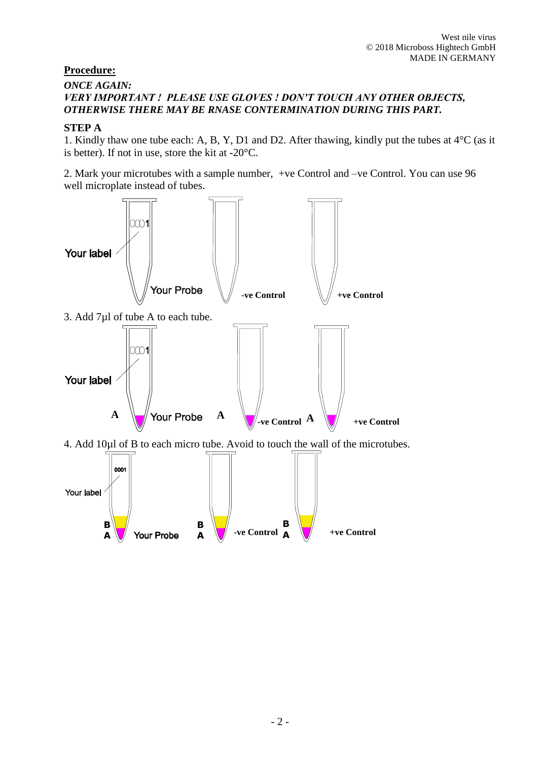# **Procedure:**

### *ONCE AGAIN: VERY IMPORTANT ! PLEASE USE GLOVES ! DON'T TOUCH ANY OTHER OBJECTS, OTHERWISE THERE MAY BE RNASE CONTERMINATION DURING THIS PART.*

# **STEP A**

1. Kindly thaw one tube each: A, B, Y, D1 and D2. After thawing, kindly put the tubes at 4°C (as it is better). If not in use, store the kit at -20°C.

2. Mark your microtubes with a sample number, +ve Control and –ve Control. You can use 96 well microplate instead of tubes.

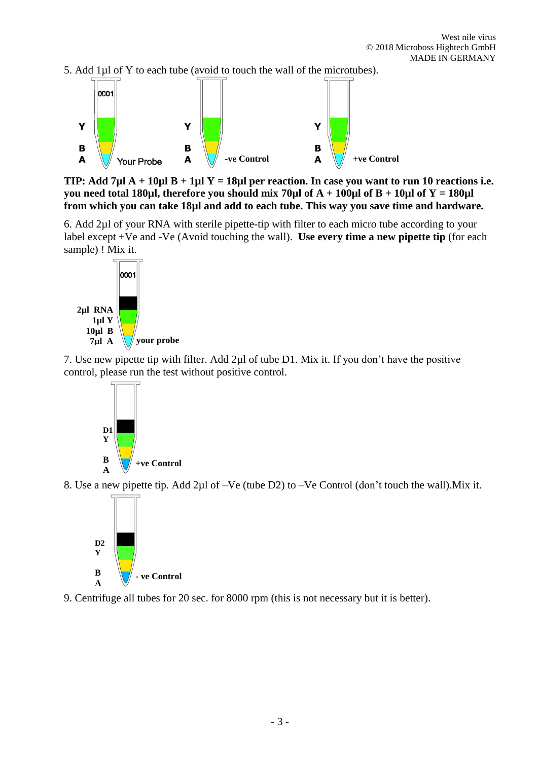5. Add 1µl of Y to each tube (avoid to touch the wall of the microtubes).



**TIP: Add 7µl A + 10µl B + 1µl Y = 18µl per reaction. In case you want to run 10 reactions i.e. you need total 180µl, therefore you should mix 70µl of**  $A + 100\mu$ **l of**  $B + 10\mu$ **l of**  $Y = 180\mu$ **l from which you can take 18µl and add to each tube. This way you save time and hardware.**

6. Add 2µl of your RNA with sterile pipette-tip with filter to each micro tube according to your label except +Ve and -Ve (Avoid touching the wall). **Use every time a new pipette tip** (for each sample) ! Mix it.



7. Use new pipette tip with filter. Add 2µl of tube D1. Mix it. If you don't have the positive control, please run the test without positive control.



8. Use a new pipette tip. Add 2µl of –Ve (tube D2) to –Ve Control (don't touch the wall).Mix it.



9. Centrifuge all tubes for 20 sec. for 8000 rpm (this is not necessary but it is better).